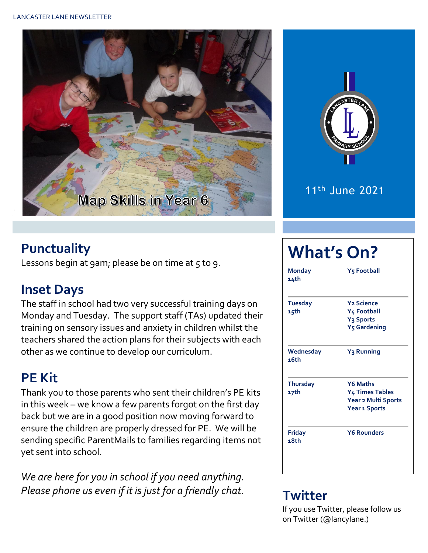



#### **Punctuality**

Lessons begin at 9am; please be on time at  $5$  to 9.

## **Inset Days**

The staff in school had two very successful training days on Monday and Tuesday. The support staff (TAs) updated their training on sensory issues and anxiety in children whilst the teachers shared the action plans for their subjects with each other as we continue to develop our curriculum.

# **PE Kit**

Thank you to those parents who sent their children's PE kits in this week – we know a few parents forgot on the first day back but we are in a good position now moving forward to ensure the children are properly dressed for PE. We will be sending specific ParentMails to families regarding items not yet sent into school.

*We are here for you in school if you need anything. Please phone us even if it is just for a friendly chat.* **Twitter**

# **What's On?**

| <b>Monday</b><br>14th   | Y5 Football                                                                                            |  |  |  |  |
|-------------------------|--------------------------------------------------------------------------------------------------------|--|--|--|--|
| <b>Tuesday</b><br>15th  | <b>Y<sub>2</sub></b> Science<br>Y4 Football<br>Y <sub>3</sub> Sports<br><b>Y<sub>5</sub></b> Gardening |  |  |  |  |
| Wednesday<br>16th       | Y <sub>3</sub> Running                                                                                 |  |  |  |  |
| <b>Thursday</b><br>17th | <b>Y6 Maths</b><br><b>Y4 Times Tables</b><br>Year 2 Multi Sports<br><b>Year 1 Sports</b>               |  |  |  |  |
| <b>Friday</b><br>18th   | <b>Y6 Rounders</b>                                                                                     |  |  |  |  |

If you use Twitter, please follow us on Twitter (@lancylane.)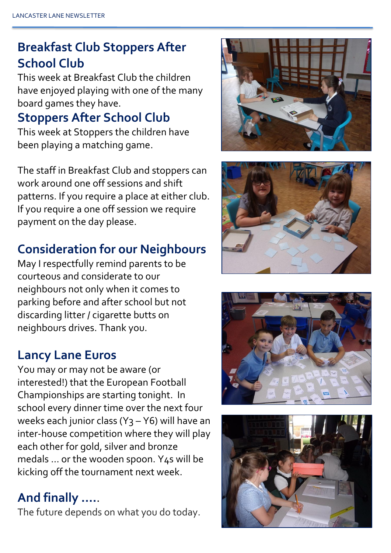# **Breakfast Club Stoppers After School Club**

This week at Breakfast Club the children have enjoyed playing with one of the many board games they have.

### **Stoppers After School Club**

This week at Stoppers the children have been playing a matching game.

The staff in Breakfast Club and stoppers can work around one off sessions and shift patterns. If you require a place at either club. If you require a one off session we require payment on the day please.

#### **Consideration for our Neighbours**

May I respectfully remind parents to be courteous and considerate to our neighbours not only when it comes to parking before and after school but not discarding litter / cigarette butts on neighbours drives. Thank you.

### **Lancy Lane Euros**

You may or may not be aware (or interested!) that the European Football Championships are starting tonight. In school every dinner time over the next four weeks each junior class (Y<sub>3</sub> – Y6) will have an inter-house competition where they will play each other for gold, silver and bronze medals … or the wooden spoon. Y4s will be kicking off the tournament next week.

### **And finally ….**.

The future depends on what you do today.